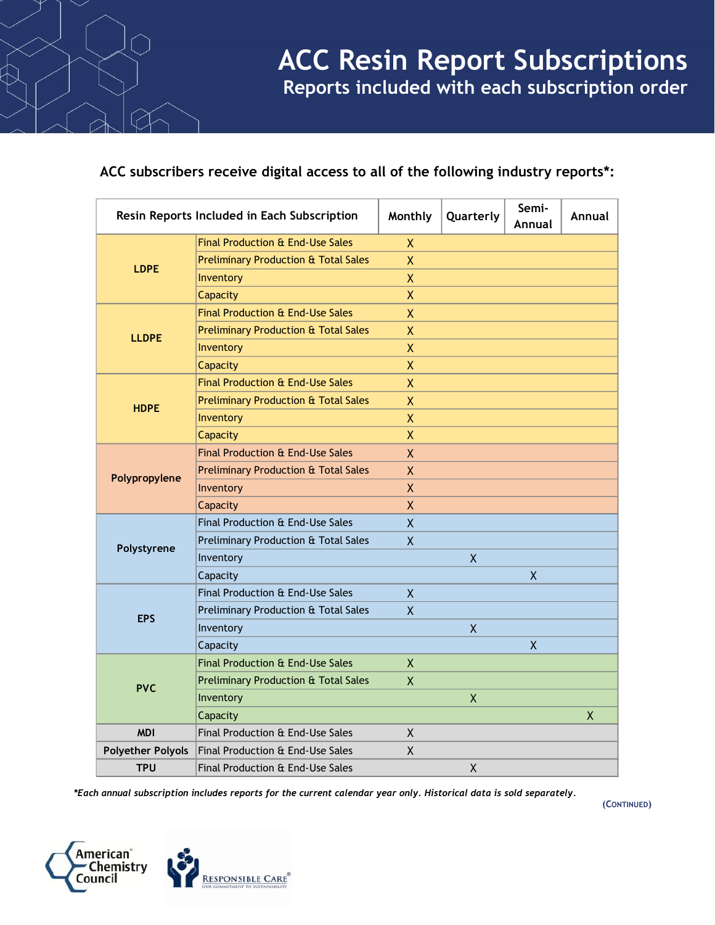# **ACC subscribers receive digital access to all of the following industry reports\*:**

| Resin Reports Included in Each Subscription |                                                 | Monthly      | Quarterly          | Semi-<br>Annual | Annual |
|---------------------------------------------|-------------------------------------------------|--------------|--------------------|-----------------|--------|
| <b>LDPE</b>                                 | Final Production & End-Use Sales                | X            |                    |                 |        |
|                                             | <b>Preliminary Production &amp; Total Sales</b> | X            |                    |                 |        |
|                                             | Inventory                                       | X            |                    |                 |        |
|                                             | Capacity                                        | X            |                    |                 |        |
| <b>LLDPE</b>                                | Final Production & End-Use Sales                | X            |                    |                 |        |
|                                             | <b>Preliminary Production &amp; Total Sales</b> | X            |                    |                 |        |
|                                             | Inventory                                       | X            |                    |                 |        |
|                                             | Capacity                                        | X            |                    |                 |        |
| <b>HDPE</b>                                 | Final Production & End-Use Sales                | $\mathsf{X}$ |                    |                 |        |
|                                             | <b>Preliminary Production &amp; Total Sales</b> | X            |                    |                 |        |
|                                             | Inventory                                       | $\sf X$      |                    |                 |        |
|                                             | Capacity                                        | X            |                    |                 |        |
| Polypropylene                               | Final Production & End-Use Sales                | X            |                    |                 |        |
|                                             | <b>Preliminary Production &amp; Total Sales</b> | X            |                    |                 |        |
|                                             | Inventory                                       | X            |                    |                 |        |
|                                             | Capacity                                        | X            |                    |                 |        |
| Polystyrene                                 | Final Production & End-Use Sales                | X.           |                    |                 |        |
|                                             | Preliminary Production & Total Sales            | $\sf X$      |                    |                 |        |
|                                             | Inventory                                       |              | X                  |                 |        |
|                                             | Capacity                                        |              |                    | $\sf X$         |        |
| <b>EPS</b>                                  | Final Production & End-Use Sales                | X.           |                    |                 |        |
|                                             | Preliminary Production & Total Sales            | X            |                    |                 |        |
|                                             | Inventory                                       |              | $\sf X$            |                 |        |
|                                             | Capacity                                        |              |                    | $\sf X$         |        |
| <b>PVC</b>                                  | Final Production & End-Use Sales                | X            |                    |                 |        |
|                                             | <b>Preliminary Production &amp; Total Sales</b> | X            |                    |                 |        |
|                                             | Inventory                                       |              | $\pmb{\mathsf{X}}$ |                 |        |
|                                             | Capacity                                        |              |                    |                 | X      |
| <b>MDI</b>                                  | Final Production & End-Use Sales                | X            |                    |                 |        |
| <b>Polyether Polyols</b>                    | Final Production & End-Use Sales                | X            |                    |                 |        |
| <b>TPU</b>                                  | Final Production & End-Use Sales                |              | $\pmb{\mathsf{X}}$ |                 |        |

*\*Each annual subscription includes reports for the current calendar year only. Historical data is sold separately.*